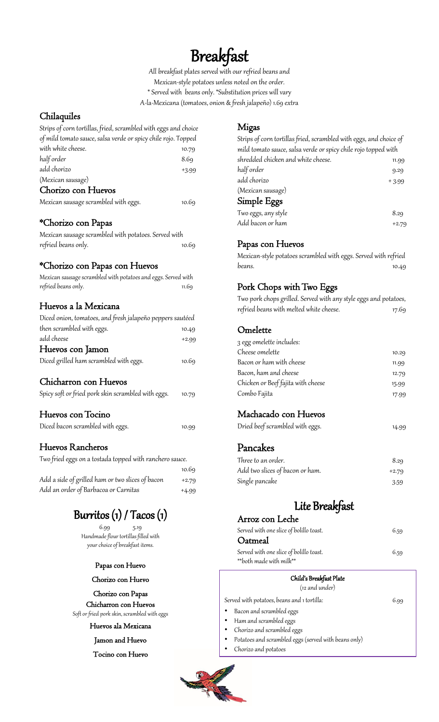# Breakfast

All breakfast plates served with our refried beans and Mexican-style potatoes unless noted on the order. \* Served with beans only. \*Substitution prices will vary A-la-Mexicana (tomatoes, onion & fresh jalapeño) 1.69 extra

### Chilaquiles

| Strips of corn tortillas, fried, scrambled with eggs and choice |         |
|-----------------------------------------------------------------|---------|
| of mild tomato sauce, salsa verde or spicy chile rojo. Topped   |         |
| with white cheese.                                              | 10.79   |
| half order                                                      | 8.69    |
| add chorizo                                                     | $+3.99$ |
| (Mexican sausage)                                               |         |
| Chorizo con Huevos                                              |         |
| Mexican sausage scrambled with eggs.                            | 10.69   |

### \*Chorizo con Papas

| Mexican sausage scrambled with potatoes. Served with |       |
|------------------------------------------------------|-------|
| refried beans only.                                  | 10.69 |

#### \*Chorizo con Papas con Huevos

| Mexican sausage scrambled with potatoes and eggs. Served with |       |
|---------------------------------------------------------------|-------|
| refried beans only.                                           | 11.69 |

#### Huevos a la Mexicana

| Diced onion, tomatoes, and fresh jalapeño peppers sautéed |         |
|-----------------------------------------------------------|---------|
| then scrambled with eggs.                                 | 10.49   |
| add cheese                                                | $+2.99$ |
| Huevos con Jamon                                          |         |
| Diced grilled ham scrambled with eggs.                    | 10.69   |
|                                                           |         |

### Chicharron con Huevos

| Spicy soft or fried pork skin scrambled with eggs. | 10.79 |
|----------------------------------------------------|-------|
|                                                    |       |

### Huevos con Tocino

| Diced bacon scrambled with eggs. | 10.99 |
|----------------------------------|-------|
|                                  |       |

### Huevos Rancheros

| Two fried eggs on a tostada topped with ranchero sauce. |         |
|---------------------------------------------------------|---------|
|                                                         | 10.69   |
| Add a side of grilled ham or two slices of bacon        | $+2.79$ |
| Add an order of Barbacoa or Carnitas                    | $+4.99$ |

## Burritos (1) / Tacos (1)

6.99 5.19 Handmade flour tortillas filled with your choice of breakfast items.

#### Papas con Huevo

#### Chorizo con Huevo

Chorizo con Papas

Chicharron con Huevos Soft or fried pork skin, scrambled with eggs

#### Huevos ala Mexicana

#### Jamon and Huevo

#### Tocino con Huevo

### Migas

| Strips of corn tortillas fried, scrambled with eggs, and choice of |         |
|--------------------------------------------------------------------|---------|
| mild tomato sauce, salsa verde or spicy chile rojo topped with     |         |
| shredded chicken and white cheese.                                 | 11.99   |
| half order                                                         | 9.29    |
| add chorizo                                                        | $+3.99$ |
| (Mexican sausage)                                                  |         |
| Simple Eggs                                                        |         |
| Two eggs, any style                                                | 8.29    |
| Add bacon or ham                                                   | $+2.79$ |

### Papas con Huevos

Mexican-style potatoes scrambled with eggs. Served with refried beans. 10.49

### Pork Chops with Two Eggs

Two pork chops grilled. Served with any style eggs and potatoes, refried beans with melted white cheese. 17.69

#### Omelette

| 3 egg omelette includes:                                |       |
|---------------------------------------------------------|-------|
| Cheese omelette                                         | 10.29 |
| Bacon or ham with cheese                                | 11.99 |
| Bacon, ham and cheese                                   | 12.79 |
| Chicken or Beef fajita with cheese                      | 15.99 |
| Combo Fajita                                            | 17.99 |
| Machacado con Huevos<br>Dried beef scrambled with eggs. | 14.99 |

### Pancakes

| Three to an order.              | 8.29    |
|---------------------------------|---------|
| Add two slices of bacon or ham. | $+2.79$ |
| Single pancake                  | 3.59    |

### Lite Breakfast

| Arroz con Leche                                                    |      |
|--------------------------------------------------------------------|------|
| Served with one slice of bolillo toast.                            | 6.59 |
| Oatmeal                                                            |      |
| Served with one slice of bolillo toast.<br>**both made with milk** | 6.59 |

#### Child's Breakfast Plate

### (12 and under)

Served with potatoes, beans and 1 tortilla:  $6.99$ 

- Bacon and scrambled eggs
- Ham and scrambled eggs
- Chorizo and scrambled eggs
- Potatoes and scrambled eggs (served with beans only)
- Chorizo and potatoes